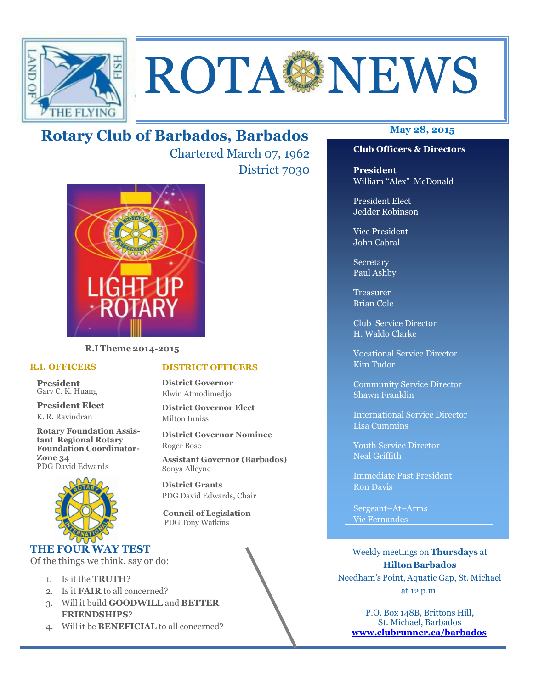

# ROTA NEWS

## **May 28, 2015 Rotary Club of Barbados, Barbados**

Chartered March 07, 1962 District 7030

**DISTRICT OFFICERS**

**District Governor Elect**

PDG David Edwards, Chair

 **Council of Legislation**  PDG Tony Watkins

**District Governor Nominee** 

**Assistant Governor (Barbados)**

**District Governor** Elwin Atmodimedjo

Milton Inniss

Roger Bose

Sonya Alleyne **District Grants** 



**R.I Theme 2014-2015** 

#### **R.I. OFFICERS**

**President** Gary C. K. Huang

**President Elect** K. R. Ravindran

**Rotary Foundation Assistant Regional Rotary Foundation Coordinator-Zone 34**  PDG David Edwards



#### **THE FOUR WAY TEST**

Of the things we think, say or do:

- 1. Is it the **TRUTH**?
- 2. Is it **FAIR** to all concerned?
- 3. Will it build **GOODWILL** and **BETTER FRIENDSHIPS**?
- 4. Will it be **BENEFICIAL** to all concerned?

Secretary Paul Ashby

H. Waldo Clarke

Vocational Service Director Kim Tudor

Shawn Franklin

International Service Director

Youth Service Director Neal Griffith

Immediate Past President Ron Davis

Sergeant–At–Arms Vic Fernandes

Weekly meetings on **Thursdays** at **Hilton Barbados** Needham's Point, Aquatic Gap, St. Michael at 12 p.m.

P.O. Box 148B, Brittons Hill, St. Michael, Barbados **www.clubrunner.ca/barbados**

#### **Club Officers & Directors**

**President** William "Alex" McDonald

President Elect Jedder Robinson

Vice President John Cabral

Treasurer Brian Cole

Club Service Director

Community Service Director

Lisa Cummins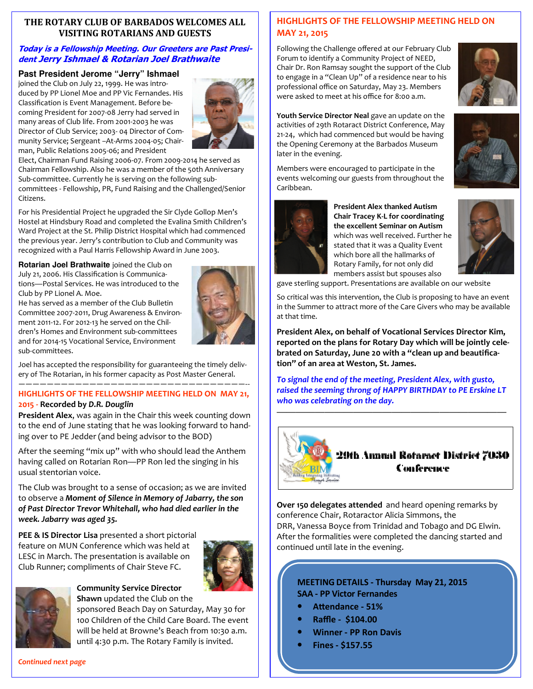#### **THE ROTARY CLUB OF BARBADOS WELCOMES ALL VISITING ROTARIANS AND GUESTS**

#### **Today is a Fellowship Meeting. Our Greeters are Past President Jerry Ishmael & Rotarian Joel Brathwaite**

#### **Past President Jerome "Jerry" Ishmael**

joined the Club on July 22, 1999. He was introduced by PP Lionel Moe and PP Vic Fernandes. His Classification is Event Management. Before becoming President for 2007-08 Jerry had served in many areas of Club life. From 2001-2003 he was Director of Club Service; 2003- 04 Director of Community Service; Sergeant –At-Arms 2004-05; Chairman, Public Relations 2005-06; and President



Elect, Chairman Fund Raising 2006-07. From 2009-2014 he served as Chairman Fellowship. Also he was a member of the 50th Anniversary Sub-committee. Currently he is serving on the following subcommittees - Fellowship, PR, Fund Raising and the Challenged/Senior Citizens.

For his Presidential Project he upgraded the Sir Clyde Gollop Men's Hostel at Hindsbury Road and completed the Evalina Smith Children's Ward Project at the St. Philip District Hospital which had commenced the previous year. Jerry's contribution to Club and Community was recognized with a Paul Harris Fellowship Award in June 2003.

**Rotarian Joel Brathwaite** joined the Club on July 21, 2006. His Classification is Communications—Postal Services. He was introduced to the Club by PP Lionel A. Moe.

He has served as a member of the Club Bulletin Committee 2007-2011, Drug Awareness & Environment 2011-12. For 2012-13 he served on the Children's Homes and Environment sub-committees and for 2014-15 Vocational Service, Environment sub-committees.



Joel has accepted the responsibility for guaranteeing the timely delivery of The Rotarian, in his former capacity as Post Master General. ————————————————————————————————--

#### **HIGHLIGHTS OF THE FELLOWSHIP MEETING HELD ON MAY 21, 2015 - Recorded by** *D.R. Douglin*

**President Alex**, was again in the Chair this week counting down to the end of June stating that he was looking forward to handing over to PE Jedder (and being advisor to the BOD)

After the seeming "mix up" with who should lead the Anthem having called on Rotarian Ron—PP Ron led the singing in his usual stentorian voice.

The Club was brought to a sense of occasion; as we are invited to observe a *Moment of Silence in Memory of Jabarry, the son of Past Director Trevor Whitehall, who had died earlier in the week. Jabarry was aged 35.* 

**PEE & IS Director Lisa** presented a short pictorial feature on MUN Conference which was held at LESC in March. The presentation is available on Club Runner; compliments of Chair Steve FC.





#### **Community Service Director Shawn** updated the Club on the

sponsored Beach Day on Saturday, May 30 for 100 Children of the Child Care Board. The event will be held at Browne's Beach from 10:30 a.m. until 4:30 p.m. The Rotary Family is invited.

#### **HIGHLIGHTS OF THE FELLOWSHIP MEETING HELD ON MAY 21, 2015**

Following the Challenge offered at our February Club Forum to identify a Community Project of NEED, Chair Dr. Ron Ramsay sought the support of the Club to engage in a "Clean Up" of a residence near to his professional office on Saturday, May 23. Members were asked to meet at his office for 8:00 a.m.



**Youth Service Director Neal** gave an update on the activities of 29th Rotaract District Conference, May 21-24, which had commenced but would be having the Opening Ceremony at the Barbados Museum later in the evening.

Members were encouraged to participate in the events welcoming our guests from throughout the Caribbean.



**President Alex thanked Autism Chair Tracey K-L for coordinating the excellent Seminar on Autism**  which was well received. Further he stated that it was a Quality Event which bore all the hallmarks of Rotary Family, for not only did members assist but spouses also



gave sterling support. Presentations are available on our website

So critical was this intervention, the Club is proposing to have an event in the Summer to attract more of the Care Givers who may be available at that time.

**President Alex, on behalf of Vocational Services Director Kim, reported on the plans for Rotary Day which will be jointly celebrated on Saturday, June 20 with a "clean up and beautification" of an area at Weston, St. James.** 

*To signal the end of the meeting, President Alex, with gusto, raised the seeming throng of HAPPY BIRTHDAY to PE Erskine LT who was celebrating on the day.* 



**Over 150 delegates attended** and heard opening remarks by conference Chair, Rotaractor Alicia Simmons, the DRR, Vanessa Boyce from Trinidad and Tobago and DG Elwin. After the formalities were completed the dancing started and continued until late in the evening.

#### **MEETING DETAILS - Thursday May 21, 2015 SAA - PP Victor Fernandes**

- Attendance 51%
- **Raffle \$104.00**
- **Winner PP Ron Davis**
- **Fines \$157.55**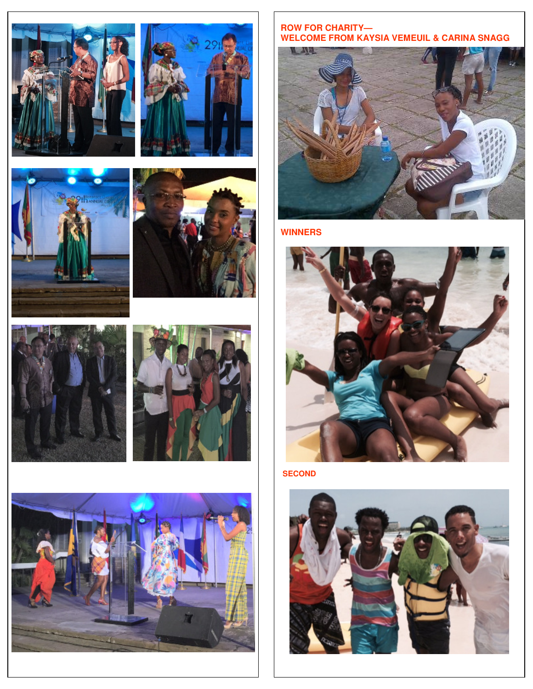













**ROW FOR CHARITY— WELCOME FROM KAYSIA VEMEUIL & CARINA SNAGG** 



**WINNERS** 



**SECOND**